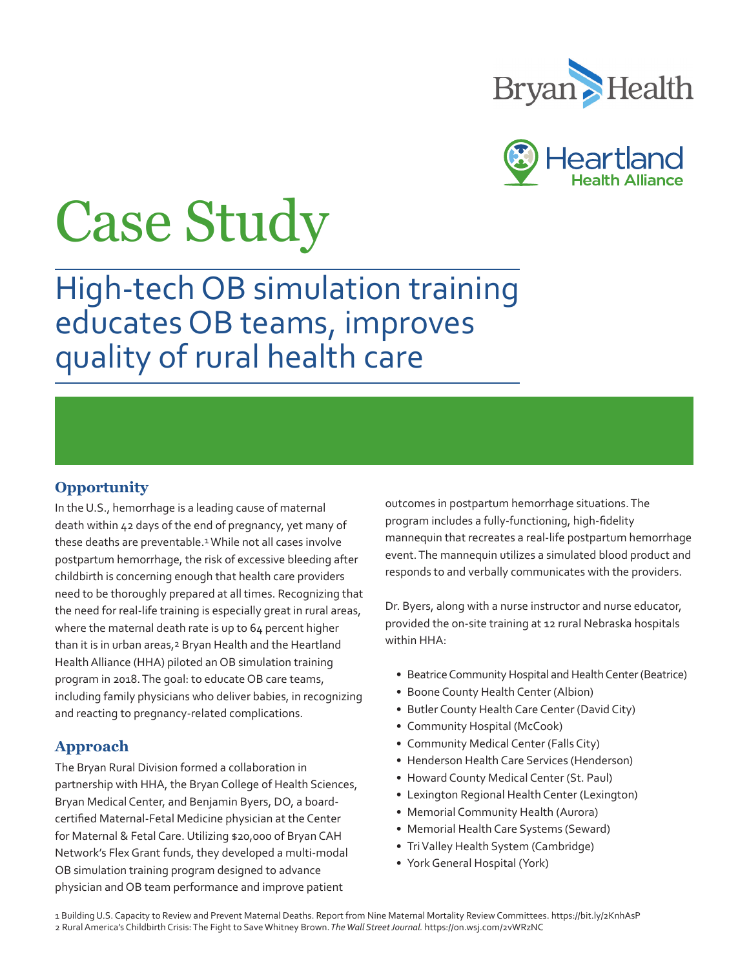



# Case Study

High-tech OB simulation training educates OB teams, improves quality of rural health care

## **Opportunity**

In the U.S., hemorrhage is a leading cause of maternal death within 42 days of the end of pregnancy, yet many of these deaths are preventable.<sup>1</sup> While not all cases involve postpartum hemorrhage, the risk of excessive bleeding after childbirth is concerning enough that health care providers need to be thoroughly prepared at all times. Recognizing that the need for real-life training is especially great in rural areas, where the maternal death rate is up to 64 percent higher than it is in urban areas,<sup>2</sup> Bryan Health and the Heartland Health Alliance (HHA) piloted an OB simulation training program in 2018. The goal: to educate OB care teams, including family physicians who deliver babies, in recognizing and reacting to pregnancy-related complications.

## **Approach**

The Bryan Rural Division formed a collaboration in partnership with HHA, the Bryan College of Health Sciences, Bryan Medical Center, and Benjamin Byers, DO, a boardcertified Maternal-Fetal Medicine physician at the Center for Maternal & Fetal Care. Utilizing \$20,000 of Bryan CAH Network's Flex Grant funds, they developed a multi-modal OB simulation training program designed to advance physician and OB team performance and improve patient

outcomes in postpartum hemorrhage situations. The program includes a fully-functioning, high-fidelity mannequin that recreates a real-life postpartum hemorrhage event. The mannequin utilizes a simulated blood product and responds to and verbally communicates with the providers.

Dr. Byers, along with a nurse instructor and nurse educator, provided the on-site training at 12 rural Nebraska hospitals within HHA:

- Beatrice Community Hospital and Health Center (Beatrice)
- Boone County Health Center (Albion)
- Butler County Health Care Center (David City)
- Community Hospital (McCook)
- Community Medical Center (Falls City)
- Henderson Health Care Services (Henderson)
- Howard County Medical Center (St. Paul)
- Lexington Regional Health Center (Lexington)
- Memorial Community Health (Aurora)
- Memorial Health Care Systems (Seward)
- Tri Valley Health System (Cambridge)
- York General Hospital (York)